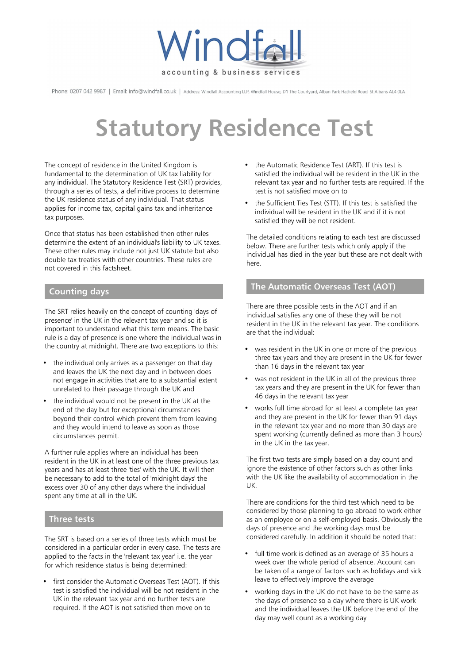

Phone: 0207 042 9987 | Email: info@windfall.co.uk | Address: Windfall Accounting LLP, Windfall House, D1 The Courtyard, Alban Park Hatfield Road, St Albans AL4 0LA

# **Statutory Residence Test**

The concept of residence in the United Kingdom is fundamental to the determination of UK tax liability for any individual. The Statutory Residence Test (SRT) provides, through a series of tests, a definitive process to determine the UK residence status of any individual. That status applies for income tax, capital gains tax and inheritance tax purposes.

Once that status has been established then other rules determine the extent of an individual's liability to UK taxes. These other rules may include not just UK statute but also double tax treaties with other countries. These rules are not covered in this factsheet.

# **Counting days**

The SRT relies heavily on the concept of counting 'days of presence' in the UK in the relevant tax year and so it is important to understand what this term means. The basic rule is a day of presence is one where the individual was in the country at midnight. There are two exceptions to this:

- the individual only arrives as a passenger on that day and leaves the UK the next day and in between does not engage in activities that are to a substantial extent unrelated to their passage through the UK and
- the individual would not be present in the UK at the end of the day but for exceptional circumstances beyond their control which prevent them from leaving and they would intend to leave as soon as those circumstances permit.

A further rule applies where an individual has been resident in the UK in at least one of the three previous tax years and has at least three 'ties' with the UK. It will then be necessary to add to the total of 'midnight days' the excess over 30 of any other days where the individual spent any time at all in the UK.

# **Three tests**

The SRT is based on a series of three tests which must be considered in a particular order in every case. The tests are applied to the facts in the 'relevant tax year' i.e. the year for which residence status is being determined:

• first consider the Automatic Overseas Test (AOT). If this test is satisfied the individual will be not resident in the UK in the relevant tax year and no further tests are required. If the AOT is not satisfied then move on to

- the Automatic Residence Test (ART). If this test is satisfied the individual will be resident in the UK in the relevant tax year and no further tests are required. If the test is not satisfied move on to
- the Sufficient Ties Test (STT). If this test is satisfied the individual will be resident in the UK and if it is not satisfied they will be not resident.

The detailed conditions relating to each test are discussed below. There are further tests which only apply if the individual has died in the year but these are not dealt with here.

# **The Automatic Overseas Test (AOT)**

There are three possible tests in the AOT and if an individual satisfies any one of these they will be not resident in the UK in the relevant tax year. The conditions are that the individual:

- was resident in the UK in one or more of the previous three tax years and they are present in the UK for fewer than 16 days in the relevant tax year
- was not resident in the UK in all of the previous three tax years and they are present in the UK for fewer than 46 days in the relevant tax year
- works full time abroad for at least a complete tax year and they are present in the UK for fewer than 91 days in the relevant tax year and no more than 30 days are spent working (currently defined as more than 3 hours) in the UK in the tax year.

The first two tests are simply based on a day count and ignore the existence of other factors such as other links with the UK like the availability of accommodation in the UK.

There are conditions for the third test which need to be considered by those planning to go abroad to work either as an employee or on a self-employed basis. Obviously the days of presence and the working days must be considered carefully. In addition it should be noted that:

- full time work is defined as an average of 35 hours a week over the whole period of absence. Account can be taken of a range of factors such as holidays and sick leave to effectively improve the average
- working days in the UK do not have to be the same as the days of presence so a day where there is UK work and the individual leaves the UK before the end of the day may well count as a working day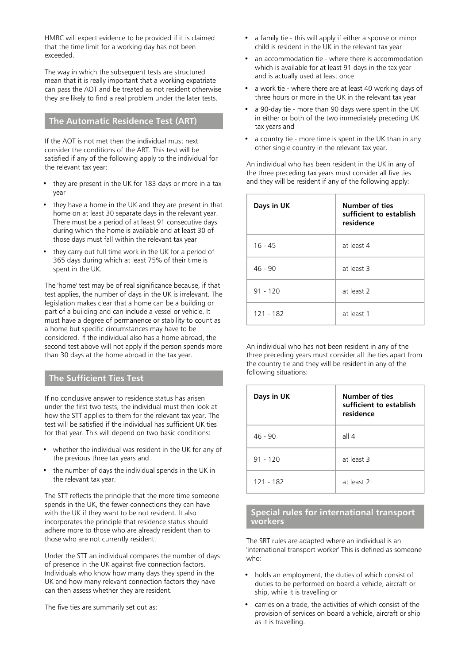HMRC will expect evidence to be provided if it is claimed that the time limit for a working day has not been exceeded.

The way in which the subsequent tests are structured mean that it is really important that a working expatriate can pass the AOT and be treated as not resident otherwise they are likely to find a real problem under the later tests.

## **The Automatic Residence Test (ART)**

If the AOT is not met then the individual must next consider the conditions of the ART. This test will be satisfied if any of the following apply to the individual for the relevant tax year:

- they are present in the UK for 183 days or more in a tax year
- they have a home in the UK and they are present in that home on at least 30 separate days in the relevant year. There must be a period of at least 91 consecutive days during which the home is available and at least 30 of those days must fall within the relevant tax year
- they carry out full time work in the UK for a period of 365 days during which at least 75% of their time is spent in the UK.

The 'home' test may be of real significance because, if that test applies, the number of days in the UK is irrelevant. The legislation makes clear that a home can be a building or part of a building and can include a vessel or vehicle. It must have a degree of permanence or stability to count as a home but specific circumstances may have to be considered. If the individual also has a home abroad, the second test above will not apply if the person spends more than 30 days at the home abroad in the tax year.

#### **The Sufficient Ties Test**

If no conclusive answer to residence status has arisen under the first two tests, the individual must then look at how the STT applies to them for the relevant tax year. The test will be satisfied if the individual has sufficient UK ties for that year. This will depend on two basic conditions:

- whether the individual was resident in the UK for any of the previous three tax years and
- the number of days the individual spends in the UK in the relevant tax year.

The STT reflects the principle that the more time someone spends in the UK, the fewer connections they can have with the UK if they want to be not resident. It also incorporates the principle that residence status should adhere more to those who are already resident than to those who are not currently resident.

Under the STT an individual compares the number of days of presence in the UK against five connection factors. Individuals who know how many days they spend in the UK and how many relevant connection factors they have can then assess whether they are resident.

The five ties are summarily set out as:

- a family tie this will apply if either a spouse or minor child is resident in the UK in the relevant tax year
- an accommodation tie where there is accommodation which is available for at least 91 days in the tax year and is actually used at least once
- a work tie where there are at least 40 working days of three hours or more in the UK in the relevant tax year
- a 90-day tie more than 90 days were spent in the UK in either or both of the two immediately preceding UK tax years and
- a country tie more time is spent in the UK than in any other single country in the relevant tax year.

An individual who has been resident in the UK in any of the three preceding tax years must consider all five ties and they will be resident if any of the following apply:

| Days in UK | Number of ties<br>sufficient to establish<br>residence |
|------------|--------------------------------------------------------|
| $16 - 45$  | at least 4                                             |
| $46 - 90$  | at least 3                                             |
| $91 - 120$ | at least 2                                             |
| 121 - 182  | at least 1                                             |

An individual who has not been resident in any of the three preceding years must consider all the ties apart from the country tie and they will be resident in any of the following situations:

| Days in UK  | Number of ties<br>sufficient to establish<br>residence |
|-------------|--------------------------------------------------------|
| $46 - 90$   | all 4                                                  |
| $91 - 120$  | at least 3                                             |
| $121 - 182$ | at least 2                                             |

#### **Special rules for international transport workers**

The SRT rules are adapted where an individual is an 'international transport worker' This is defined as someone who:

- holds an employment, the duties of which consist of duties to be performed on board a vehicle, aircraft or ship, while it is travelling or
- carries on a trade, the activities of which consist of the provision of services on board a vehicle, aircraft or ship as it is travelling.